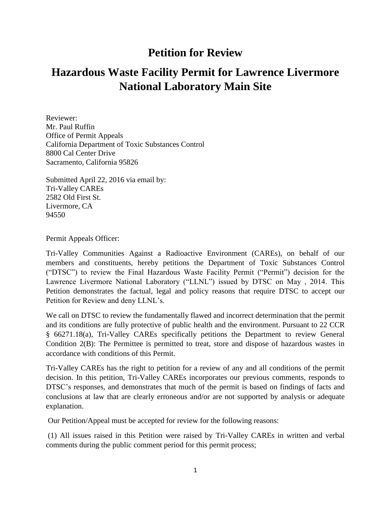## **Petition for Review**

## **Hazardous Waste Facility Permit for Lawrence Livermore National Laboratory Main Site**

Reviewer: Mr. Paul Ruffin Office of Permit Appeals California Department of Toxic Substances Control 8800 Cal Center Drive Sacramento, California 95826

Submitted April 22, 2016 via email by: Tri-Valley CAREs 2582 Old First St. Livermore, CA 94550

Permit Appeals Officer:

Tri-Valley Communities Against a Radioactive Environment (CAREs), on behalf of our members and constituents, hereby petitions the Department of Toxic Substances Control ("DTSC") to review the Final Hazardous Waste Facility Permit ("Permit") decision for the Lawrence Livermore National Laboratory ("LLNL") issued by DTSC on May , 2014. This Petition demonstrates the factual, legal and policy reasons that require DTSC to accept our Petition for Review and deny LLNL's.

We call on DTSC to review the fundamentally flawed and incorrect determination that the permit and its conditions are fully protective of public health and the environment. Pursuant to 22 CCR § 66271.18(a), Tri-Valley CAREs specifically petitions the Department to review General Condition 2(B): The Permittee is permitted to treat, store and dispose of hazardous wastes in accordance with conditions of this Permit.

Tri-Valley CAREs has the right to petition for a review of any and all conditions of the permit decision. In this petition, Tri-Valley CAREs incorporates our previous comments, responds to DTSC's responses, and demonstrates that much of the permit is based on findings of facts and conclusions at law that are clearly erroneous and/or are not supported by analysis or adequate explanation.

Our Petition/Appeal must be accepted for review for the following reasons:

(1) All issues raised in this Petition were raised by Tri-Valley CAREs in written and verbal comments during the public comment period for this permit process;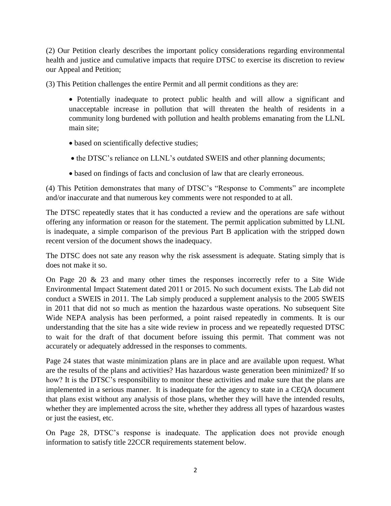(2) Our Petition clearly describes the important policy considerations regarding environmental health and justice and cumulative impacts that require DTSC to exercise its discretion to review our Appeal and Petition;

(3) This Petition challenges the entire Permit and all permit conditions as they are:

 Potentially inadequate to protect public health and will allow a significant and unacceptable increase in pollution that will threaten the health of residents in a community long burdened with pollution and health problems emanating from the LLNL main site;

- based on scientifically defective studies;
- the DTSC's reliance on LLNL's outdated SWEIS and other planning documents;
- based on findings of facts and conclusion of law that are clearly erroneous.

(4) This Petition demonstrates that many of DTSC's "Response to Comments" are incomplete and/or inaccurate and that numerous key comments were not responded to at all.

The DTSC repeatedly states that it has conducted a review and the operations are safe without offering any information or reason for the statement. The permit application submitted by LLNL is inadequate, a simple comparison of the previous Part B application with the stripped down recent version of the document shows the inadequacy.

The DTSC does not sate any reason why the risk assessment is adequate. Stating simply that is does not make it so.

On Page 20  $\&$  23 and many other times the responses incorrectly refer to a Site Wide Environmental Impact Statement dated 2011 or 2015. No such document exists. The Lab did not conduct a SWEIS in 2011. The Lab simply produced a supplement analysis to the 2005 SWEIS in 2011 that did not so much as mention the hazardous waste operations. No subsequent Site Wide NEPA analysis has been performed, a point raised repeatedly in comments. It is our understanding that the site has a site wide review in process and we repeatedly requested DTSC to wait for the draft of that document before issuing this permit. That comment was not accurately or adequately addressed in the responses to comments.

Page 24 states that waste minimization plans are in place and are available upon request. What are the results of the plans and activities? Has hazardous waste generation been minimized? If so how? It is the DTSC's responsibility to monitor these activities and make sure that the plans are implemented in a serious manner. It is inadequate for the agency to state in a CEQA document that plans exist without any analysis of those plans, whether they will have the intended results, whether they are implemented across the site, whether they address all types of hazardous wastes or just the easiest, etc.

On Page 28, DTSC's response is inadequate. The application does not provide enough information to satisfy title 22CCR requirements statement below.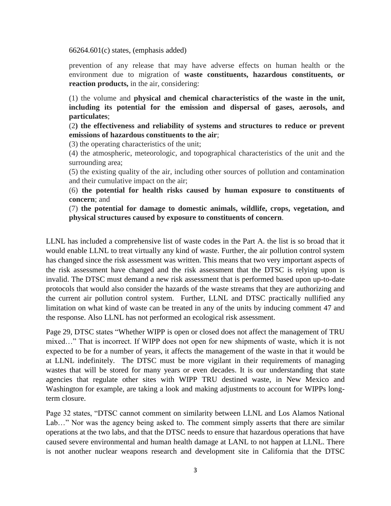66264.601(c) states, (emphasis added)

prevention of any release that may have adverse effects on human health or the environment due to migration of **waste constituents, hazardous constituents, or reaction products,** in the air, considering:

(1) the volume and **physical and chemical characteristics of the waste in the unit, including its potential for the emission and dispersal of gases, aerosols, and particulates**;

(2**) the effectiveness and reliability of systems and structures to reduce or prevent emissions of hazardous constituents to the air**;

(3) the operating characteristics of the unit;

(4) the atmospheric, meteorologic, and topographical characteristics of the unit and the surrounding area;

(5) the existing quality of the air, including other sources of pollution and contamination and their cumulative impact on the air;

(6) **the potential for health risks caused by human exposure to constituents of concern**; and

(7) **the potential for damage to domestic animals, wildlife, crops, vegetation, and physical structures caused by exposure to constituents of concern**.

LLNL has included a comprehensive list of waste codes in the Part A. the list is so broad that it would enable LLNL to treat virtually any kind of waste. Further, the air pollution control system has changed since the risk assessment was written. This means that two very important aspects of the risk assessment have changed and the risk assessment that the DTSC is relying upon is invalid. The DTSC must demand a new risk assessment that is performed based upon up-to-date protocols that would also consider the hazards of the waste streams that they are authorizing and the current air pollution control system. Further, LLNL and DTSC practically nullified any limitation on what kind of waste can be treated in any of the units by inducing comment 47 and the response. Also LLNL has not performed an ecological risk assessment.

Page 29, DTSC states "Whether WIPP is open or closed does not affect the management of TRU mixed…" That is incorrect. If WIPP does not open for new shipments of waste, which it is not expected to be for a number of years, it affects the management of the waste in that it would be at LLNL indefinitely. The DTSC must be more vigilant in their requirements of managing wastes that will be stored for many years or even decades. It is our understanding that state agencies that regulate other sites with WIPP TRU destined waste, in New Mexico and Washington for example, are taking a look and making adjustments to account for WIPPs longterm closure.

Page 32 states, "DTSC cannot comment on similarity between LLNL and Los Alamos National Lab…" Nor was the agency being asked to. The comment simply asserts that there are similar operations at the two labs, and that the DTSC needs to ensure that hazardous operations that have caused severe environmental and human health damage at LANL to not happen at LLNL. There is not another nuclear weapons research and development site in California that the DTSC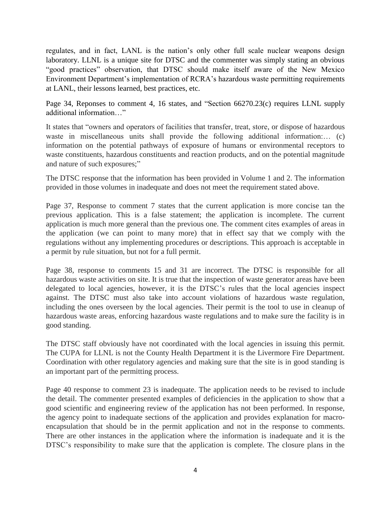regulates, and in fact, LANL is the nation's only other full scale nuclear weapons design laboratory. LLNL is a unique site for DTSC and the commenter was simply stating an obvious "good practices" observation, that DTSC should make itself aware of the New Mexico Environment Department's implementation of RCRA's hazardous waste permitting requirements at LANL, their lessons learned, best practices, etc.

Page 34, Reponses to comment 4, 16 states, and "Section 66270.23(c) requires LLNL supply additional information…"

It states that "owners and operators of facilities that transfer, treat, store, or dispose of hazardous waste in miscellaneous units shall provide the following additional information:... (c) information on the potential pathways of exposure of humans or environmental receptors to waste constituents, hazardous constituents and reaction products, and on the potential magnitude and nature of such exposures;"

The DTSC response that the information has been provided in Volume 1 and 2. The information provided in those volumes in inadequate and does not meet the requirement stated above.

Page 37, Response to comment 7 states that the current application is more concise tan the previous application. This is a false statement; the application is incomplete. The current application is much more general than the previous one. The comment cites examples of areas in the application (we can point to many more) that in effect say that we comply with the regulations without any implementing procedures or descriptions. This approach is acceptable in a permit by rule situation, but not for a full permit.

Page 38, response to comments 15 and 31 are incorrect. The DTSC is responsible for all hazardous waste activities on site. It is true that the inspection of waste generator areas have been delegated to local agencies, however, it is the DTSC's rules that the local agencies inspect against. The DTSC must also take into account violations of hazardous waste regulation, including the ones overseen by the local agencies. Their permit is the tool to use in cleanup of hazardous waste areas, enforcing hazardous waste regulations and to make sure the facility is in good standing.

The DTSC staff obviously have not coordinated with the local agencies in issuing this permit. The CUPA for LLNL is not the County Health Department it is the Livermore Fire Department. Coordination with other regulatory agencies and making sure that the site is in good standing is an important part of the permitting process.

Page 40 response to comment 23 is inadequate. The application needs to be revised to include the detail. The commenter presented examples of deficiencies in the application to show that a good scientific and engineering review of the application has not been performed. In response, the agency point to inadequate sections of the application and provides explanation for macroencapsulation that should be in the permit application and not in the response to comments. There are other instances in the application where the information is inadequate and it is the DTSC's responsibility to make sure that the application is complete. The closure plans in the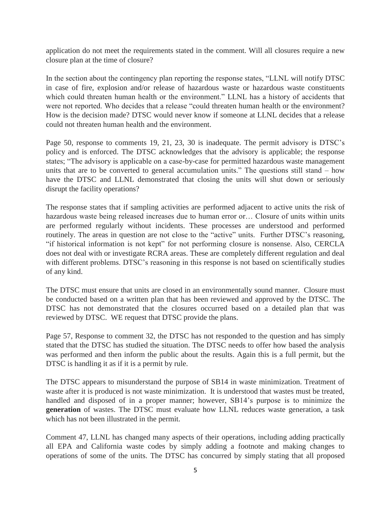application do not meet the requirements stated in the comment. Will all closures require a new closure plan at the time of closure?

In the section about the contingency plan reporting the response states, "LLNL will notify DTSC in case of fire, explosion and/or release of hazardous waste or hazardous waste constituents which could threaten human health or the environment." LLNL has a history of accidents that were not reported. Who decides that a release "could threaten human health or the environment? How is the decision made? DTSC would never know if someone at LLNL decides that a release could not threaten human health and the environment.

Page 50, response to comments 19, 21, 23, 30 is inadequate. The permit advisory is DTSC's policy and is enforced. The DTSC acknowledges that the advisory is applicable; the response states; "The advisory is applicable on a case-by-case for permitted hazardous waste management units that are to be converted to general accumulation units." The questions still stand – how have the DTSC and LLNL demonstrated that closing the units will shut down or seriously disrupt the facility operations?

The response states that if sampling activities are performed adjacent to active units the risk of hazardous waste being released increases due to human error or... Closure of units within units are performed regularly without incidents. These processes are understood and performed routinely. The areas in question are not close to the "active" units. Further DTSC's reasoning, "if historical information is not kept" for not performing closure is nonsense. Also, CERCLA does not deal with or investigate RCRA areas. These are completely different regulation and deal with different problems. DTSC's reasoning in this response is not based on scientifically studies of any kind.

The DTSC must ensure that units are closed in an environmentally sound manner. Closure must be conducted based on a written plan that has been reviewed and approved by the DTSC. The DTSC has not demonstrated that the closures occurred based on a detailed plan that was reviewed by DTSC. WE request that DTSC provide the plans.

Page 57, Response to comment 32, the DTSC has not responded to the question and has simply stated that the DTSC has studied the situation. The DTSC needs to offer how based the analysis was performed and then inform the public about the results. Again this is a full permit, but the DTSC is handling it as if it is a permit by rule.

The DTSC appears to misunderstand the purpose of SB14 in waste minimization. Treatment of waste after it is produced is not waste minimization. It is understood that wastes must be treated, handled and disposed of in a proper manner; however, SB14's purpose is to minimize the **generation** of wastes. The DTSC must evaluate how LLNL reduces waste generation, a task which has not been illustrated in the permit.

Comment 47, LLNL has changed many aspects of their operations, including adding practically all EPA and California waste codes by simply adding a footnote and making changes to operations of some of the units. The DTSC has concurred by simply stating that all proposed